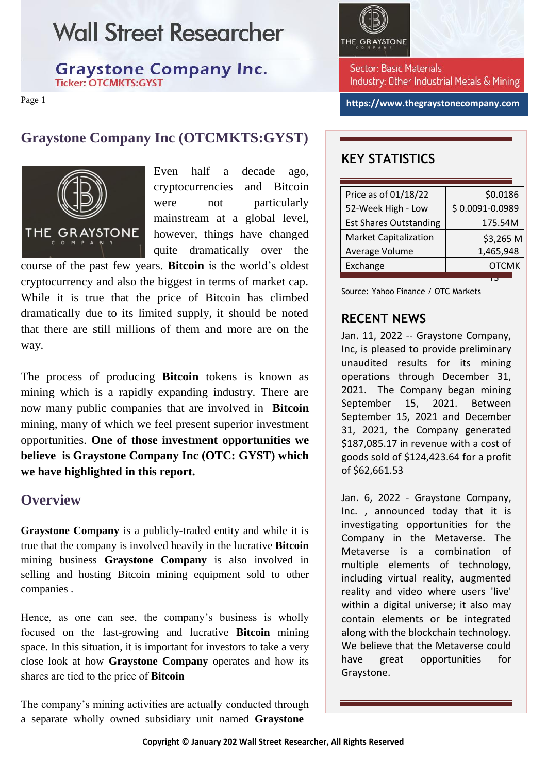## **Wall Street Researcher**

#### **Graystone Company Inc. Ticker: OTCMKTS:GYST**

Page 1

## **Graystone Company Inc (OTCMKTS:GYST)**



Even half a decade ago, cryptocurrencies and Bitcoin were not particularly mainstream at a global level, however, things have changed quite dramatically over the

course of the past few years. **Bitcoin** is the world's oldest cryptocurrency and also the biggest in terms of market cap. While it is true that the price of Bitcoin has climbed dramatically due to its limited supply, it should be noted that there are still millions of them and more are on the way.

The process of producing **Bitcoin** tokens is known as mining which is a rapidly expanding industry. There are now many public companies that are involved in **Bitcoin** mining, many of which we feel present superior investment opportunities. **One of those investment opportunities we believe is Graystone Company Inc (OTC: GYST) which we have highlighted in this report.** 

## **Overview**

**Graystone Company** is a publicly-traded entity and while it is true that the company is involved heavily in the lucrative **Bitcoin** mining business **Graystone Company** is also involved in selling and hosting Bitcoin mining equipment sold to other companies .

Hence, as one can see, the company's business is wholly focused on the fast-growing and lucrative **Bitcoin** mining space. In this situation, it is important for investors to take a very close look at how **Graystone Company** operates and how its shares are tied to the price of **Bitcoin**

The company's mining activities are actually conducted through a separate wholly owned subsidiary unit named **Graystone** 



Sector: Basic Materials Industry: Other Industrial Metals & Mining

**https://www.thegraystonecompany.com**

## **KEY STATISTICS**

| Price as of 01/18/22          | \$0.0186        |
|-------------------------------|-----------------|
| 52-Week High - Low            | \$0.0091-0.0989 |
| <b>Est Shares Outstanding</b> | 175.54M         |
| <b>Market Capitalization</b>  | \$3,265 M       |
| Average Volume                | 1,465,948       |
| Exchange                      | <b>OTCMK</b>    |
|                               |                 |

Source: Yahoo Finance / OTC Markets

## **RECENT NEWS**

Jan. 11, 2022 -- Graystone Company, Inc, is pleased to provide preliminary unaudited results for its mining operations through December 31, 2021. The Company began mining September 15, 2021. Between September 15, 2021 and December 31, 2021, the Company generated \$187,085.17 in revenue with a cost of goods sold of \$124,423.64 for a profit of \$62,661.53

Jan. 6, 2022 - Graystone Company, Inc. , announced today that it is investigating opportunities for the Company in the Metaverse. The Metaverse is a combination of multiple elements of technology, including virtual reality, augmented reality and video where users 'live' within a digital universe; it also may contain elements or be integrated along with the blockchain technology. We believe that the Metaverse could have great opportunities for Graystone.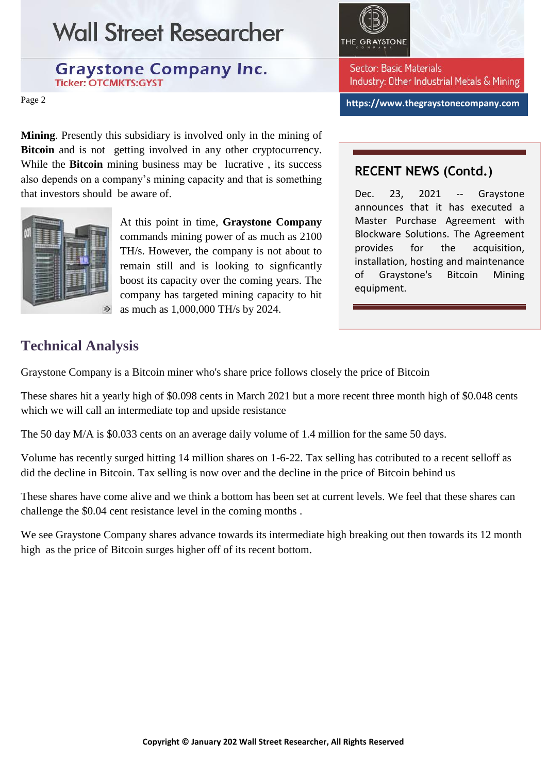# **Wall Street Researcher**

#### **Graystone Company Inc. Ticker: OTCMKTS:GYST**

Page 2

**Mining**. Presently this subsidiary is involved only in the mining of **Bitcoin** and is not getting involved in any other cryptocurrency. While the **Bitcoin** mining business may be lucrative , its success also depends on a company's mining capacity and that is something that investors should be aware of.



At this point in time, **Graystone Company** commands mining power of as much as 2100 TH/s. However, the company is not about to remain still and is looking to signficantly boost its capacity over the coming years. The company has targeted mining capacity to hit as much as 1,000,000 TH/s by 2024.



Sector: Basic Materials Industry: Other Industrial Metals & Mining

**https://www.thegraystonecompany.com**

### **RECENT NEWS (Contd.)**

Dec. 23, 2021 -- Graystone announces that it has executed a Master Purchase Agreement with Blockware Solutions. The Agreement provides for the acquisition, installation, hosting and maintenance of Graystone's Bitcoin Mining equipment.

## **Technical Analysis**

Graystone Company is a Bitcoin miner who's share price follows closely the price of Bitcoin

These shares hit a yearly high of \$0.098 cents in March 2021 but a more recent three month high of \$0.048 cents which we will call an intermediate top and upside resistance

The 50 day M/A is \$0.033 cents on an average daily volume of 1.4 million for the same 50 days.

Volume has recently surged hitting 14 million shares on 1-6-22. Tax selling has cotributed to a recent selloff as did the decline in Bitcoin. Tax selling is now over and the decline in the price of Bitcoin behind us

These shares have come alive and we think a bottom has been set at current levels. We feel that these shares can challenge the \$0.04 cent resistance level in the coming months .

We see Graystone Company shares advance towards its intermediate high breaking out then towards its 12 month high as the price of Bitcoin surges higher off of its recent bottom.